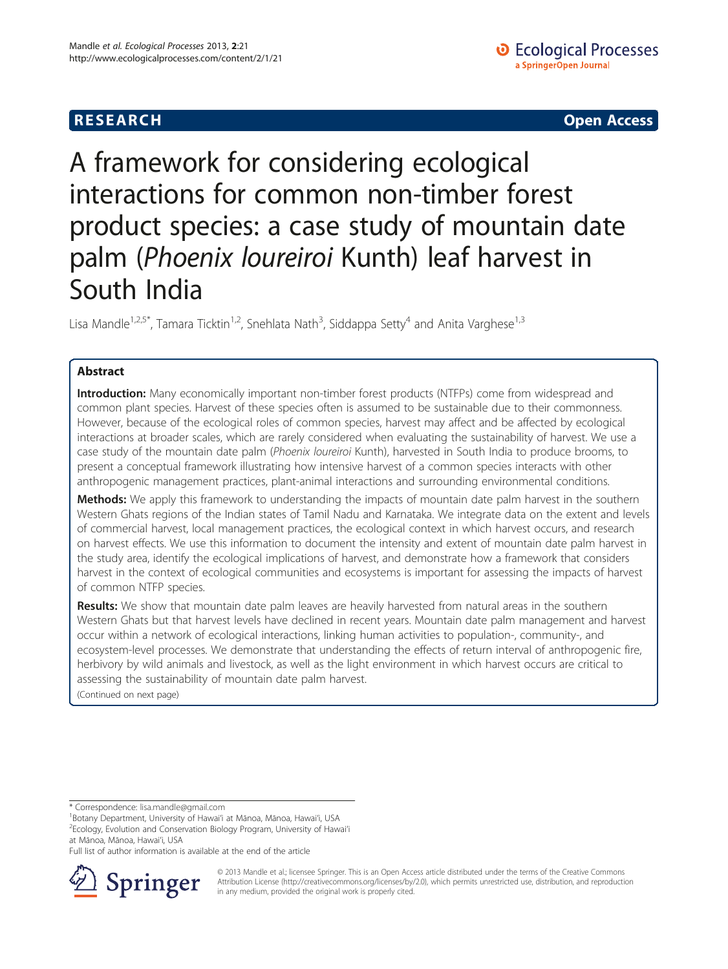# **RESEARCH CHE CHE Open Access**

# A framework for considering ecological interactions for common non-timber forest product species: a case study of mountain date palm (Phoenix loureiroi Kunth) leaf harvest in South India

Lisa Mandle<sup>1,2,5\*</sup>, Tamara Ticktin<sup>1,2</sup>, Snehlata Nath<sup>3</sup>, Siddappa Setty<sup>4</sup> and Anita Varghese<sup>1,3</sup>

# Abstract

**Introduction:** Many economically important non-timber forest products (NTFPs) come from widespread and common plant species. Harvest of these species often is assumed to be sustainable due to their commonness. However, because of the ecological roles of common species, harvest may affect and be affected by ecological interactions at broader scales, which are rarely considered when evaluating the sustainability of harvest. We use a case study of the mountain date palm (Phoenix loureiroi Kunth), harvested in South India to produce brooms, to present a conceptual framework illustrating how intensive harvest of a common species interacts with other anthropogenic management practices, plant-animal interactions and surrounding environmental conditions.

Methods: We apply this framework to understanding the impacts of mountain date palm harvest in the southern Western Ghats regions of the Indian states of Tamil Nadu and Karnataka. We integrate data on the extent and levels of commercial harvest, local management practices, the ecological context in which harvest occurs, and research on harvest effects. We use this information to document the intensity and extent of mountain date palm harvest in the study area, identify the ecological implications of harvest, and demonstrate how a framework that considers harvest in the context of ecological communities and ecosystems is important for assessing the impacts of harvest of common NTFP species.

Results: We show that mountain date palm leaves are heavily harvested from natural areas in the southern Western Ghats but that harvest levels have declined in recent years. Mountain date palm management and harvest occur within a network of ecological interactions, linking human activities to population-, community-, and ecosystem-level processes. We demonstrate that understanding the effects of return interval of anthropogenic fire, herbivory by wild animals and livestock, as well as the light environment in which harvest occurs are critical to assessing the sustainability of mountain date palm harvest.

(Continued on next page)

\* Correspondence: [lisa.mandle@gmail.com](mailto:lisa.mandle@gmail.com) <sup>1</sup>

<sup>1</sup> Botany Department, University of Hawai'i at Mānoa, Mānoa, Hawai'i, USA <sup>2</sup>Ecology, Evolution and Conservation Biology Program, University of Hawai'i

at Mānoa, Mānoa, Hawai'i, USA

Full list of author information is available at the end of the article



© 2013 Mandle et al.; licensee Springer. This is an Open Access article distributed under the terms of the Creative Commons Attribution License [\(http://creativecommons.org/licenses/by/2.0\)](http://creativecommons.org/licenses/by/2.0), which permits unrestricted use, distribution, and reproduction in any medium, provided the original work is properly cited.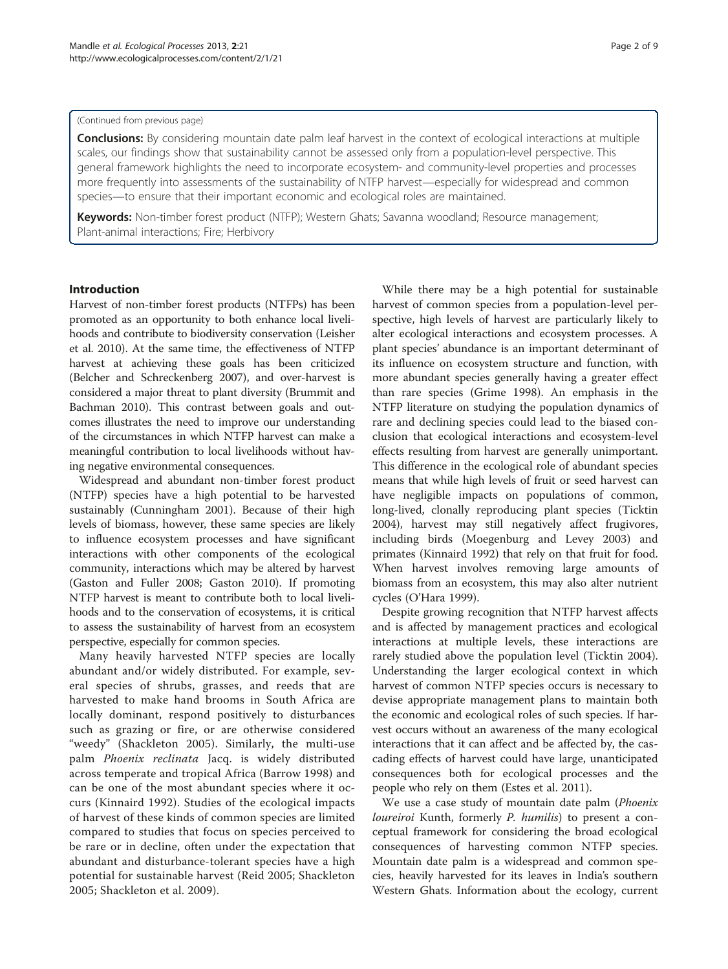## (Continued from previous page)

Conclusions: By considering mountain date palm leaf harvest in the context of ecological interactions at multiple scales, our findings show that sustainability cannot be assessed only from a population-level perspective. This general framework highlights the need to incorporate ecosystem- and community-level properties and processes more frequently into assessments of the sustainability of NTFP harvest—especially for widespread and common species—to ensure that their important economic and ecological roles are maintained.

Keywords: Non-timber forest product (NTFP); Western Ghats; Savanna woodland; Resource management; Plant-animal interactions; Fire; Herbivory

# Introduction

Harvest of non-timber forest products (NTFPs) has been promoted as an opportunity to both enhance local livelihoods and contribute to biodiversity conservation (Leisher et al. [2010](#page-7-0)). At the same time, the effectiveness of NTFP harvest at achieving these goals has been criticized (Belcher and Schreckenberg [2007\)](#page-7-0), and over-harvest is considered a major threat to plant diversity (Brummit and Bachman [2010\)](#page-7-0). This contrast between goals and outcomes illustrates the need to improve our understanding of the circumstances in which NTFP harvest can make a meaningful contribution to local livelihoods without having negative environmental consequences.

Widespread and abundant non-timber forest product (NTFP) species have a high potential to be harvested sustainably (Cunningham [2001\)](#page-7-0). Because of their high levels of biomass, however, these same species are likely to influence ecosystem processes and have significant interactions with other components of the ecological community, interactions which may be altered by harvest (Gaston and Fuller [2008](#page-7-0); Gaston [2010](#page-7-0)). If promoting NTFP harvest is meant to contribute both to local livelihoods and to the conservation of ecosystems, it is critical to assess the sustainability of harvest from an ecosystem perspective, especially for common species.

Many heavily harvested NTFP species are locally abundant and/or widely distributed. For example, several species of shrubs, grasses, and reeds that are harvested to make hand brooms in South Africa are locally dominant, respond positively to disturbances such as grazing or fire, or are otherwise considered "weedy" (Shackleton [2005\)](#page-8-0). Similarly, the multi-use palm Phoenix reclinata Jacq. is widely distributed across temperate and tropical Africa (Barrow [1998](#page-7-0)) and can be one of the most abundant species where it occurs (Kinnaird [1992\)](#page-7-0). Studies of the ecological impacts of harvest of these kinds of common species are limited compared to studies that focus on species perceived to be rare or in decline, often under the expectation that abundant and disturbance-tolerant species have a high potential for sustainable harvest (Reid [2005](#page-8-0); Shackleton [2005](#page-8-0); Shackleton et al. [2009\)](#page-8-0).

While there may be a high potential for sustainable harvest of common species from a population-level perspective, high levels of harvest are particularly likely to alter ecological interactions and ecosystem processes. A plant species' abundance is an important determinant of its influence on ecosystem structure and function, with more abundant species generally having a greater effect than rare species (Grime [1998](#page-7-0)). An emphasis in the NTFP literature on studying the population dynamics of rare and declining species could lead to the biased conclusion that ecological interactions and ecosystem-level effects resulting from harvest are generally unimportant. This difference in the ecological role of abundant species means that while high levels of fruit or seed harvest can have negligible impacts on populations of common, long-lived, clonally reproducing plant species (Ticktin [2004](#page-8-0)), harvest may still negatively affect frugivores, including birds (Moegenburg and Levey [2003\)](#page-7-0) and primates (Kinnaird [1992](#page-7-0)) that rely on that fruit for food. When harvest involves removing large amounts of biomass from an ecosystem, this may also alter nutrient cycles (O'Hara [1999\)](#page-7-0).

Despite growing recognition that NTFP harvest affects and is affected by management practices and ecological interactions at multiple levels, these interactions are rarely studied above the population level (Ticktin [2004](#page-8-0)). Understanding the larger ecological context in which harvest of common NTFP species occurs is necessary to devise appropriate management plans to maintain both the economic and ecological roles of such species. If harvest occurs without an awareness of the many ecological interactions that it can affect and be affected by, the cascading effects of harvest could have large, unanticipated consequences both for ecological processes and the people who rely on them (Estes et al. [2011](#page-7-0)).

We use a case study of mountain date palm (*Phoenix* loureiroi Kunth, formerly P. humilis) to present a conceptual framework for considering the broad ecological consequences of harvesting common NTFP species. Mountain date palm is a widespread and common species, heavily harvested for its leaves in India's southern Western Ghats. Information about the ecology, current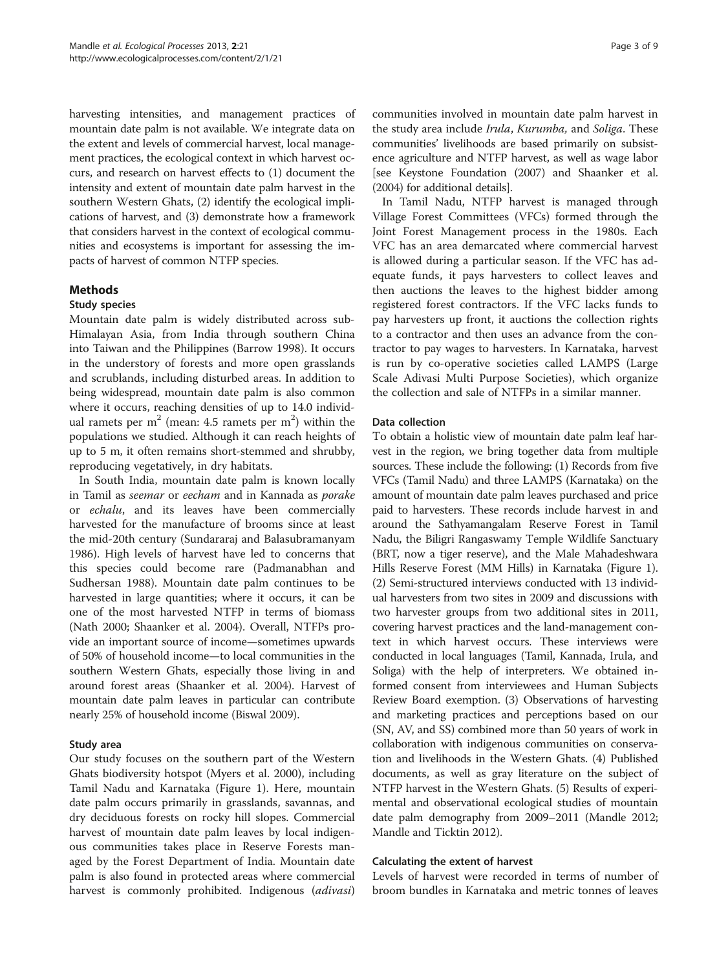harvesting intensities, and management practices of mountain date palm is not available. We integrate data on the extent and levels of commercial harvest, local management practices, the ecological context in which harvest occurs, and research on harvest effects to (1) document the intensity and extent of mountain date palm harvest in the southern Western Ghats, (2) identify the ecological implications of harvest, and (3) demonstrate how a framework that considers harvest in the context of ecological communities and ecosystems is important for assessing the impacts of harvest of common NTFP species.

# Methods

# Study species

Mountain date palm is widely distributed across sub-Himalayan Asia, from India through southern China into Taiwan and the Philippines (Barrow [1998\)](#page-7-0). It occurs in the understory of forests and more open grasslands and scrublands, including disturbed areas. In addition to being widespread, mountain date palm is also common where it occurs, reaching densities of up to 14.0 individual ramets per m<sup>2</sup> (mean: 4.5 ramets per m<sup>2</sup>) within the populations we studied. Although it can reach heights of up to 5 m, it often remains short-stemmed and shrubby, reproducing vegetatively, in dry habitats.

In South India, mountain date palm is known locally in Tamil as seemar or eecham and in Kannada as porake or echalu, and its leaves have been commercially harvested for the manufacture of brooms since at least the mid-20th century (Sundararaj and Balasubramanyam [1986](#page-8-0)). High levels of harvest have led to concerns that this species could become rare (Padmanabhan and Sudhersan [1988](#page-8-0)). Mountain date palm continues to be harvested in large quantities; where it occurs, it can be one of the most harvested NTFP in terms of biomass (Nath [2000;](#page-7-0) Shaanker et al. [2004](#page-8-0)). Overall, NTFPs provide an important source of income—sometimes upwards of 50% of household income—to local communities in the southern Western Ghats, especially those living in and around forest areas (Shaanker et al. [2004\)](#page-8-0). Harvest of mountain date palm leaves in particular can contribute nearly 25% of household income (Biswal [2009\)](#page-7-0).

## Study area

Our study focuses on the southern part of the Western Ghats biodiversity hotspot (Myers et al. [2000\)](#page-7-0), including Tamil Nadu and Karnataka (Figure [1\)](#page-3-0). Here, mountain date palm occurs primarily in grasslands, savannas, and dry deciduous forests on rocky hill slopes. Commercial harvest of mountain date palm leaves by local indigenous communities takes place in Reserve Forests managed by the Forest Department of India. Mountain date palm is also found in protected areas where commercial harvest is commonly prohibited. Indigenous (adivasi)

communities involved in mountain date palm harvest in the study area include Irula, Kurumba, and Soliga. These communities' livelihoods are based primarily on subsistence agriculture and NTFP harvest, as well as wage labor [see Keystone Foundation ([2007](#page-7-0)) and Shaanker et al. ([2004](#page-8-0)) for additional details].

In Tamil Nadu, NTFP harvest is managed through Village Forest Committees (VFCs) formed through the Joint Forest Management process in the 1980s. Each VFC has an area demarcated where commercial harvest is allowed during a particular season. If the VFC has adequate funds, it pays harvesters to collect leaves and then auctions the leaves to the highest bidder among registered forest contractors. If the VFC lacks funds to pay harvesters up front, it auctions the collection rights to a contractor and then uses an advance from the contractor to pay wages to harvesters. In Karnataka, harvest is run by co-operative societies called LAMPS (Large Scale Adivasi Multi Purpose Societies), which organize the collection and sale of NTFPs in a similar manner.

## Data collection

To obtain a holistic view of mountain date palm leaf harvest in the region, we bring together data from multiple sources. These include the following: (1) Records from five VFCs (Tamil Nadu) and three LAMPS (Karnataka) on the amount of mountain date palm leaves purchased and price paid to harvesters. These records include harvest in and around the Sathyamangalam Reserve Forest in Tamil Nadu, the Biligri Rangaswamy Temple Wildlife Sanctuary (BRT, now a tiger reserve), and the Male Mahadeshwara Hills Reserve Forest (MM Hills) in Karnataka (Figure [1](#page-3-0)). (2) Semi-structured interviews conducted with 13 individual harvesters from two sites in 2009 and discussions with two harvester groups from two additional sites in 2011, covering harvest practices and the land-management context in which harvest occurs. These interviews were conducted in local languages (Tamil, Kannada, Irula, and Soliga) with the help of interpreters. We obtained informed consent from interviewees and Human Subjects Review Board exemption. (3) Observations of harvesting and marketing practices and perceptions based on our (SN, AV, and SS) combined more than 50 years of work in collaboration with indigenous communities on conservation and livelihoods in the Western Ghats. (4) Published documents, as well as gray literature on the subject of NTFP harvest in the Western Ghats. (5) Results of experimental and observational ecological studies of mountain date palm demography from 2009–2011 (Mandle [2012](#page-7-0); Mandle and Ticktin [2012](#page-7-0)).

## Calculating the extent of harvest

Levels of harvest were recorded in terms of number of broom bundles in Karnataka and metric tonnes of leaves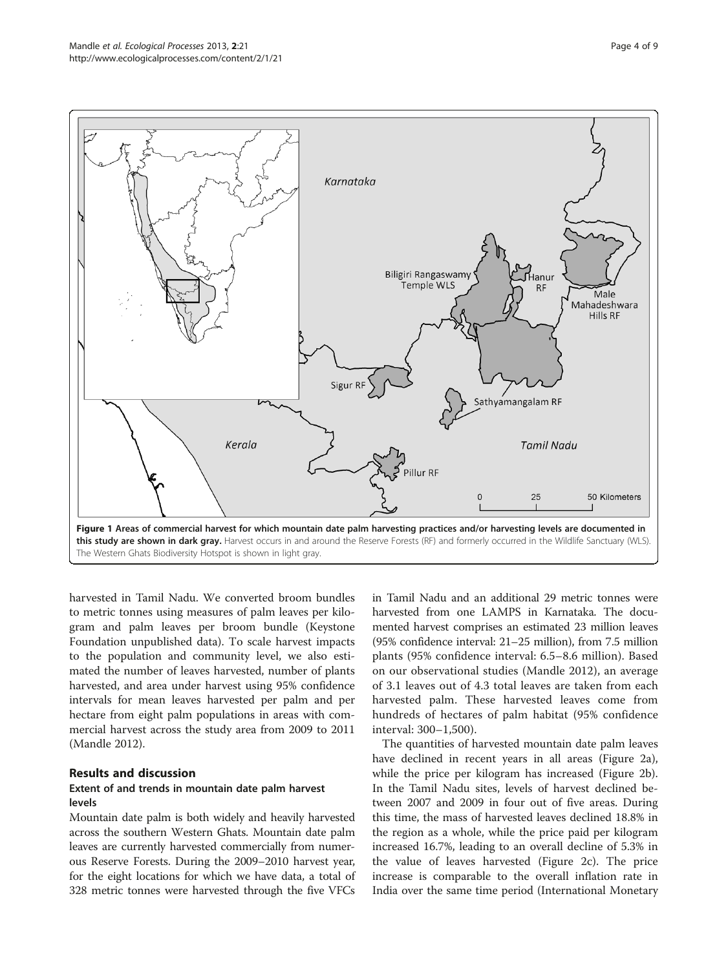<span id="page-3-0"></span>

harvested in Tamil Nadu. We converted broom bundles to metric tonnes using measures of palm leaves per kilogram and palm leaves per broom bundle (Keystone Foundation unpublished data). To scale harvest impacts to the population and community level, we also estimated the number of leaves harvested, number of plants harvested, and area under harvest using 95% confidence intervals for mean leaves harvested per palm and per hectare from eight palm populations in areas with commercial harvest across the study area from 2009 to 2011 (Mandle [2012](#page-7-0)).

# Results and discussion

# Extent of and trends in mountain date palm harvest levels

Mountain date palm is both widely and heavily harvested across the southern Western Ghats. Mountain date palm leaves are currently harvested commercially from numerous Reserve Forests. During the 2009–2010 harvest year, for the eight locations for which we have data, a total of 328 metric tonnes were harvested through the five VFCs

in Tamil Nadu and an additional 29 metric tonnes were harvested from one LAMPS in Karnataka. The documented harvest comprises an estimated 23 million leaves (95% confidence interval: 21–25 million), from 7.5 million plants (95% confidence interval: 6.5–8.6 million). Based on our observational studies (Mandle [2012\)](#page-7-0), an average of 3.1 leaves out of 4.3 total leaves are taken from each harvested palm. These harvested leaves come from hundreds of hectares of palm habitat (95% confidence interval: 300–1,500).

The quantities of harvested mountain date palm leaves have declined in recent years in all areas (Figure [2a](#page-4-0)), while the price per kilogram has increased (Figure [2](#page-4-0)b). In the Tamil Nadu sites, levels of harvest declined between 2007 and 2009 in four out of five areas. During this time, the mass of harvested leaves declined 18.8% in the region as a whole, while the price paid per kilogram increased 16.7%, leading to an overall decline of 5.3% in the value of leaves harvested (Figure [2](#page-4-0)c). The price increase is comparable to the overall inflation rate in India over the same time period (International Monetary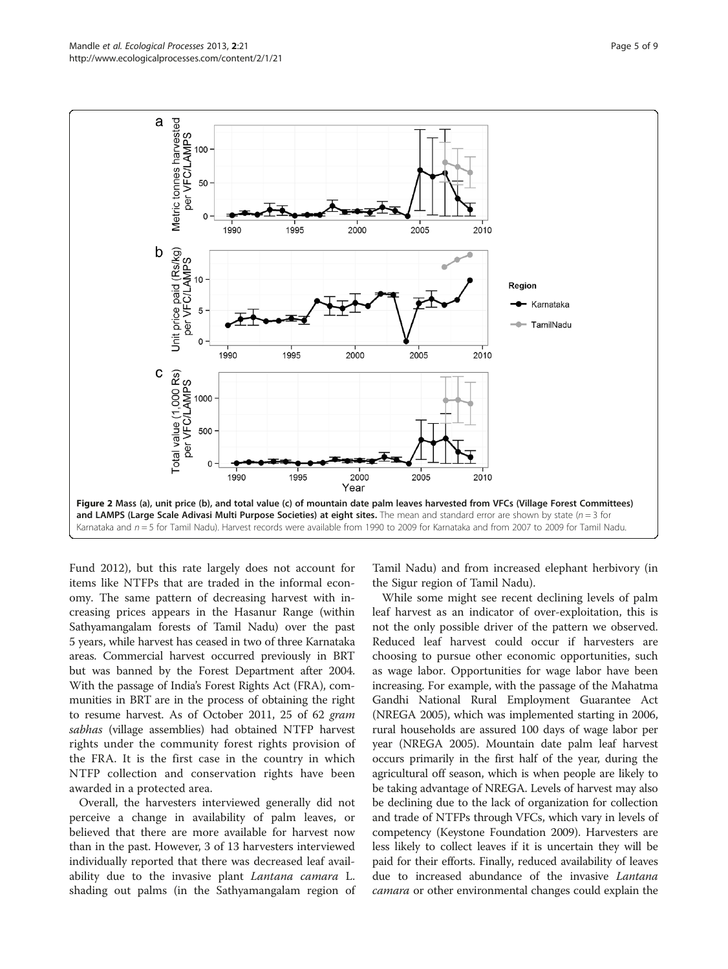<span id="page-4-0"></span>

Fund [2012\)](#page-7-0), but this rate largely does not account for items like NTFPs that are traded in the informal economy. The same pattern of decreasing harvest with increasing prices appears in the Hasanur Range (within Sathyamangalam forests of Tamil Nadu) over the past 5 years, while harvest has ceased in two of three Karnataka areas. Commercial harvest occurred previously in BRT but was banned by the Forest Department after 2004. With the passage of India's Forest Rights Act (FRA), communities in BRT are in the process of obtaining the right to resume harvest. As of October 2011, 25 of 62 gram sabhas (village assemblies) had obtained NTFP harvest rights under the community forest rights provision of the FRA. It is the first case in the country in which NTFP collection and conservation rights have been awarded in a protected area.

Overall, the harvesters interviewed generally did not perceive a change in availability of palm leaves, or believed that there are more available for harvest now than in the past. However, 3 of 13 harvesters interviewed individually reported that there was decreased leaf availability due to the invasive plant *Lantana camara* L. shading out palms (in the Sathyamangalam region of Tamil Nadu) and from increased elephant herbivory (in the Sigur region of Tamil Nadu).

While some might see recent declining levels of palm leaf harvest as an indicator of over-exploitation, this is not the only possible driver of the pattern we observed. Reduced leaf harvest could occur if harvesters are choosing to pursue other economic opportunities, such as wage labor. Opportunities for wage labor have been increasing. For example, with the passage of the Mahatma Gandhi National Rural Employment Guarantee Act (NREGA [2005](#page-7-0)), which was implemented starting in 2006, rural households are assured 100 days of wage labor per year (NREGA [2005](#page-7-0)). Mountain date palm leaf harvest occurs primarily in the first half of the year, during the agricultural off season, which is when people are likely to be taking advantage of NREGA. Levels of harvest may also be declining due to the lack of organization for collection and trade of NTFPs through VFCs, which vary in levels of competency (Keystone Foundation [2009](#page-7-0)). Harvesters are less likely to collect leaves if it is uncertain they will be paid for their efforts. Finally, reduced availability of leaves due to increased abundance of the invasive Lantana camara or other environmental changes could explain the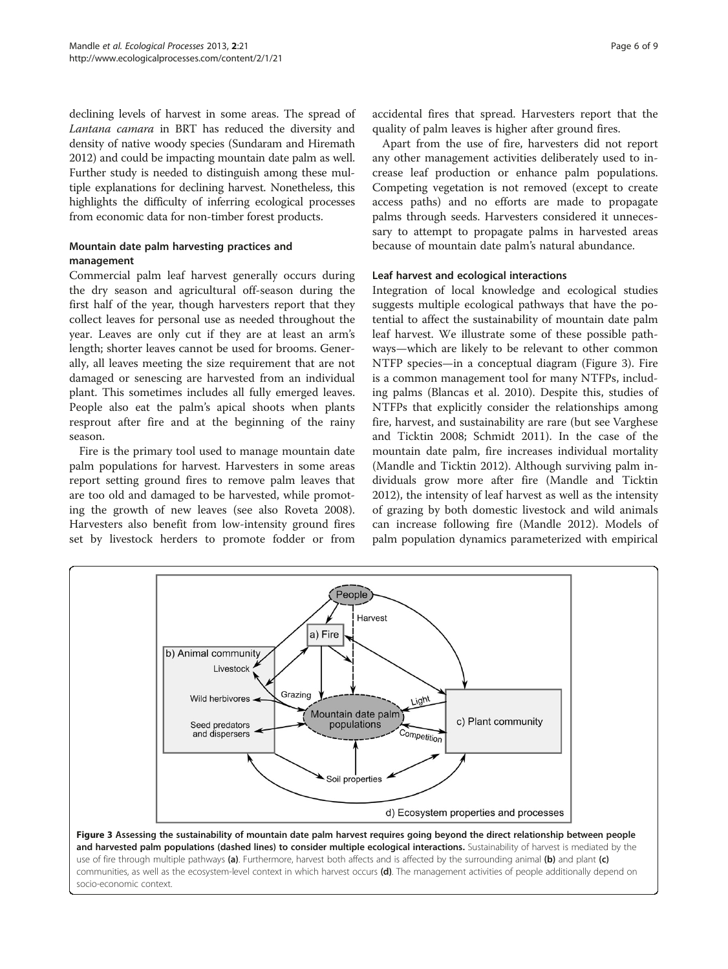<span id="page-5-0"></span>declining levels of harvest in some areas. The spread of Lantana camara in BRT has reduced the diversity and density of native woody species (Sundaram and Hiremath [2012\)](#page-8-0) and could be impacting mountain date palm as well. Further study is needed to distinguish among these multiple explanations for declining harvest. Nonetheless, this highlights the difficulty of inferring ecological processes from economic data for non-timber forest products.

# Mountain date palm harvesting practices and management

Commercial palm leaf harvest generally occurs during the dry season and agricultural off-season during the first half of the year, though harvesters report that they collect leaves for personal use as needed throughout the year. Leaves are only cut if they are at least an arm's length; shorter leaves cannot be used for brooms. Generally, all leaves meeting the size requirement that are not damaged or senescing are harvested from an individual plant. This sometimes includes all fully emerged leaves. People also eat the palm's apical shoots when plants resprout after fire and at the beginning of the rainy season.

Fire is the primary tool used to manage mountain date palm populations for harvest. Harvesters in some areas report setting ground fires to remove palm leaves that are too old and damaged to be harvested, while promoting the growth of new leaves (see also Roveta [2008](#page-8-0)). Harvesters also benefit from low-intensity ground fires set by livestock herders to promote fodder or from

accidental fires that spread. Harvesters report that the quality of palm leaves is higher after ground fires.

Apart from the use of fire, harvesters did not report any other management activities deliberately used to increase leaf production or enhance palm populations. Competing vegetation is not removed (except to create access paths) and no efforts are made to propagate palms through seeds. Harvesters considered it unnecessary to attempt to propagate palms in harvested areas because of mountain date palm's natural abundance.

# Leaf harvest and ecological interactions

Integration of local knowledge and ecological studies suggests multiple ecological pathways that have the potential to affect the sustainability of mountain date palm leaf harvest. We illustrate some of these possible pathways—which are likely to be relevant to other common NTFP species—in a conceptual diagram (Figure 3). Fire is a common management tool for many NTFPs, including palms (Blancas et al. [2010\)](#page-7-0). Despite this, studies of NTFPs that explicitly consider the relationships among fire, harvest, and sustainability are rare (but see Varghese and Ticktin [2008;](#page-8-0) Schmidt [2011](#page-8-0)). In the case of the mountain date palm, fire increases individual mortality (Mandle and Ticktin [2012\)](#page-7-0). Although surviving palm individuals grow more after fire (Mandle and Ticktin [2012](#page-7-0)), the intensity of leaf harvest as well as the intensity of grazing by both domestic livestock and wild animals can increase following fire (Mandle [2012](#page-7-0)). Models of palm population dynamics parameterized with empirical

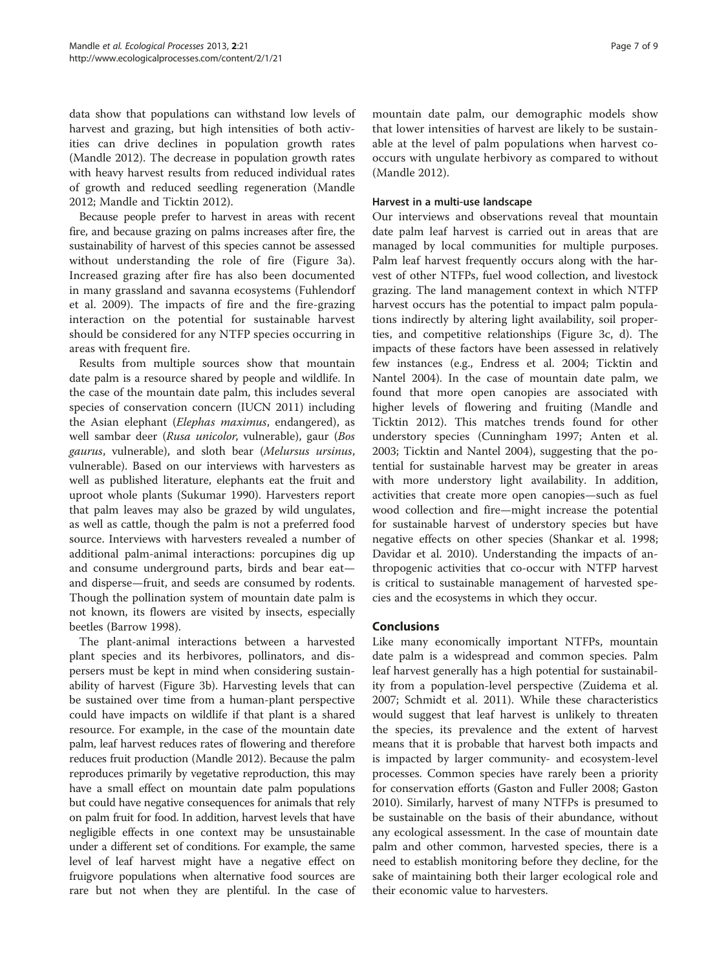data show that populations can withstand low levels of harvest and grazing, but high intensities of both activities can drive declines in population growth rates (Mandle [2012\)](#page-7-0). The decrease in population growth rates with heavy harvest results from reduced individual rates of growth and reduced seedling regeneration (Mandle [2012](#page-7-0); Mandle and Ticktin [2012\)](#page-7-0).

Because people prefer to harvest in areas with recent fire, and because grazing on palms increases after fire, the sustainability of harvest of this species cannot be assessed without understanding the role of fire (Figure [3a](#page-5-0)). Increased grazing after fire has also been documented in many grassland and savanna ecosystems (Fuhlendorf et al. [2009\)](#page-7-0). The impacts of fire and the fire-grazing interaction on the potential for sustainable harvest should be considered for any NTFP species occurring in areas with frequent fire.

Results from multiple sources show that mountain date palm is a resource shared by people and wildlife. In the case of the mountain date palm, this includes several species of conservation concern (IUCN [2011](#page-7-0)) including the Asian elephant (Elephas maximus, endangered), as well sambar deer (Rusa unicolor, vulnerable), gaur (Bos gaurus, vulnerable), and sloth bear (Melursus ursinus, vulnerable). Based on our interviews with harvesters as well as published literature, elephants eat the fruit and uproot whole plants (Sukumar [1990](#page-8-0)). Harvesters report that palm leaves may also be grazed by wild ungulates, as well as cattle, though the palm is not a preferred food source. Interviews with harvesters revealed a number of additional palm-animal interactions: porcupines dig up and consume underground parts, birds and bear eat and disperse—fruit, and seeds are consumed by rodents. Though the pollination system of mountain date palm is not known, its flowers are visited by insects, especially beetles (Barrow [1998\)](#page-7-0).

The plant-animal interactions between a harvested plant species and its herbivores, pollinators, and dispersers must be kept in mind when considering sustainability of harvest (Figure [3](#page-5-0)b). Harvesting levels that can be sustained over time from a human-plant perspective could have impacts on wildlife if that plant is a shared resource. For example, in the case of the mountain date palm, leaf harvest reduces rates of flowering and therefore reduces fruit production (Mandle [2012](#page-7-0)). Because the palm reproduces primarily by vegetative reproduction, this may have a small effect on mountain date palm populations but could have negative consequences for animals that rely on palm fruit for food. In addition, harvest levels that have negligible effects in one context may be unsustainable under a different set of conditions. For example, the same level of leaf harvest might have a negative effect on fruigvore populations when alternative food sources are rare but not when they are plentiful. In the case of

mountain date palm, our demographic models show that lower intensities of harvest are likely to be sustainable at the level of palm populations when harvest cooccurs with ungulate herbivory as compared to without (Mandle [2012](#page-7-0)).

# Harvest in a multi-use landscape

Our interviews and observations reveal that mountain date palm leaf harvest is carried out in areas that are managed by local communities for multiple purposes. Palm leaf harvest frequently occurs along with the harvest of other NTFPs, fuel wood collection, and livestock grazing. The land management context in which NTFP harvest occurs has the potential to impact palm populations indirectly by altering light availability, soil properties, and competitive relationships (Figure [3](#page-5-0)c, d). The impacts of these factors have been assessed in relatively few instances (e.g., Endress et al. [2004;](#page-7-0) Ticktin and Nantel [2004\)](#page-8-0). In the case of mountain date palm, we found that more open canopies are associated with higher levels of flowering and fruiting (Mandle and Ticktin [2012](#page-7-0)). This matches trends found for other understory species (Cunningham [1997](#page-7-0); Anten et al. [2003](#page-7-0); Ticktin and Nantel [2004](#page-8-0)), suggesting that the potential for sustainable harvest may be greater in areas with more understory light availability. In addition, activities that create more open canopies—such as fuel wood collection and fire—might increase the potential for sustainable harvest of understory species but have negative effects on other species (Shankar et al. [1998](#page-8-0); Davidar et al. [2010\)](#page-7-0). Understanding the impacts of anthropogenic activities that co-occur with NTFP harvest is critical to sustainable management of harvested species and the ecosystems in which they occur.

# **Conclusions**

Like many economically important NTFPs, mountain date palm is a widespread and common species. Palm leaf harvest generally has a high potential for sustainability from a population-level perspective (Zuidema et al. [2007](#page-8-0); Schmidt et al. [2011](#page-8-0)). While these characteristics would suggest that leaf harvest is unlikely to threaten the species, its prevalence and the extent of harvest means that it is probable that harvest both impacts and is impacted by larger community- and ecosystem-level processes. Common species have rarely been a priority for conservation efforts (Gaston and Fuller [2008](#page-7-0); Gaston [2010](#page-7-0)). Similarly, harvest of many NTFPs is presumed to be sustainable on the basis of their abundance, without any ecological assessment. In the case of mountain date palm and other common, harvested species, there is a need to establish monitoring before they decline, for the sake of maintaining both their larger ecological role and their economic value to harvesters.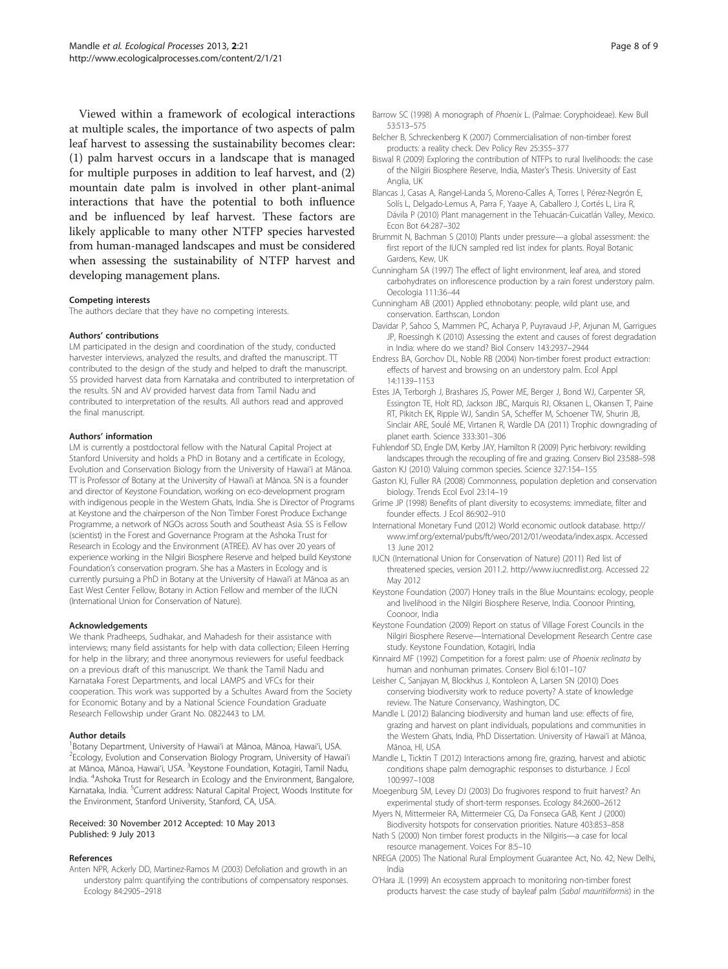<span id="page-7-0"></span>Viewed within a framework of ecological interactions at multiple scales, the importance of two aspects of palm leaf harvest to assessing the sustainability becomes clear: (1) palm harvest occurs in a landscape that is managed for multiple purposes in addition to leaf harvest, and (2) mountain date palm is involved in other plant-animal interactions that have the potential to both influence and be influenced by leaf harvest. These factors are likely applicable to many other NTFP species harvested from human-managed landscapes and must be considered when assessing the sustainability of NTFP harvest and developing management plans.

#### Competing interests

The authors declare that they have no competing interests.

#### Authors' contributions

LM participated in the design and coordination of the study, conducted harvester interviews, analyzed the results, and drafted the manuscript. TT contributed to the design of the study and helped to draft the manuscript. SS provided harvest data from Karnataka and contributed to interpretation of the results. SN and AV provided harvest data from Tamil Nadu and contributed to interpretation of the results. All authors read and approved the final manuscript.

#### Authors' information

LM is currently a postdoctoral fellow with the Natural Capital Project at Stanford University and holds a PhD in Botany and a certificate in Ecology, Evolution and Conservation Biology from the University of Hawai'i at Mānoa. TT is Professor of Botany at the University of Hawai'i at Mānoa. SN is a founder and director of Keystone Foundation, working on eco-development program with indigenous people in the Western Ghats, India. She is Director of Programs at Keystone and the chairperson of the Non Timber Forest Produce Exchange Programme, a network of NGOs across South and Southeast Asia. SS is Fellow (scientist) in the Forest and Governance Program at the Ashoka Trust for Research in Ecology and the Environment (ATREE). AV has over 20 years of experience working in the Nilgiri Biosphere Reserve and helped build Keystone Foundation's conservation program. She has a Masters in Ecology and is currently pursuing a PhD in Botany at the University of Hawai'i at Mānoa as an East West Center Fellow, Botany in Action Fellow and member of the IUCN (International Union for Conservation of Nature).

#### Acknowledgements

We thank Pradheeps, Sudhakar, and Mahadesh for their assistance with interviews; many field assistants for help with data collection; Eileen Herring for help in the library; and three anonymous reviewers for useful feedback on a previous draft of this manuscript. We thank the Tamil Nadu and Karnataka Forest Departments, and local LAMPS and VFCs for their cooperation. This work was supported by a Schultes Award from the Society for Economic Botany and by a National Science Foundation Graduate Research Fellowship under Grant No. 0822443 to LM.

### Author details

1<br>Botany Department, University of Hawai'i at Mānoa, Mānoa, Hawai'i, USA.<br><sup>2</sup>Ecology, Fyolytion and Consonation Biology Program, University of Haw <sup>2</sup>Ecology, Evolution and Conservation Biology Program, University of Hawai'i at Mānoa, Mānoa, Hawai'i, USA. <sup>3</sup> Keystone Foundation, Kotagiri, Tamil Nadu, India. <sup>4</sup> Ashoka Trust for Research in Ecology and the Environment, Bangalore, Karnataka, India. <sup>5</sup>Current address: Natural Capital Project, Woods Institute for the Environment, Stanford University, Stanford, CA, USA.

## Received: 30 November 2012 Accepted: 10 May 2013 Published: 9 July 2013

#### References

Anten NPR, Ackerly DD, Martinez-Ramos M (2003) Defoliation and growth in an understory palm: quantifying the contributions of compensatory responses. Ecology 84:2905–2918

- Barrow SC (1998) A monograph of Phoenix L. (Palmae: Coryphoideae). Kew Bull 53:513–575
- Belcher B, Schreckenberg K (2007) Commercialisation of non-timber forest products: a reality check. Dev Policy Rev 25:355–377
- Biswal R (2009) Exploring the contribution of NTFPs to rural livelihoods: the case of the Nilgiri Biosphere Reserve, India, Master's Thesis. University of East Anglia, UK
- Blancas J, Casas A, Rangel-Landa S, Moreno-Calles A, Torres I, Pérez-Negrón E, Solís L, Delgado-Lemus A, Parra F, Yaaye A, Caballero J, Cortés L, Lira R, Dávila P (2010) Plant management in the Tehuacán-Cuicatlán Valley, Mexico. Econ Bot 64:287–302
- Brummit N, Bachman S (2010) Plants under pressure—a global assessment: the first report of the IUCN sampled red list index for plants. Royal Botanic Gardens, Kew, UK
- Cunningham SA (1997) The effect of light environment, leaf area, and stored carbohydrates on inflorescence production by a rain forest understory palm. Oecologia 111:36–44
- Cunningham AB (2001) Applied ethnobotany: people, wild plant use, and conservation. Earthscan, London
- Davidar P, Sahoo S, Mammen PC, Acharya P, Puyravaud J-P, Arjunan M, Garrigues JP, Roessingh K (2010) Assessing the extent and causes of forest degradation in India: where do we stand? Biol Conserv 143:2937–2944
- Endress BA, Gorchov DL, Noble RB (2004) Non-timber forest product extraction: effects of harvest and browsing on an understory palm. Ecol Appl 14:1139–1153
- Estes JA, Terborgh J, Brashares JS, Power ME, Berger J, Bond WJ, Carpenter SR, Essington TE, Holt RD, Jackson JBC, Marquis RJ, Oksanen L, Okansen T, Paine RT, Pikitch EK, Ripple WJ, Sandin SA, Scheffer M, Schoener TW, Shurin JB, Sinclair ARE, Soulé ME, Virtanen R, Wardle DA (2011) Trophic downgrading of planet earth. Science 333:301–306
- Fuhlendorf SD, Engle DM, Kerby JAY, Hamilton R (2009) Pyric herbivory: rewilding landscapes through the recoupling of fire and grazing. Conserv Biol 23:588–598 Gaston KJ (2010) Valuing common species. Science 327:154–155
- Gaston KJ, Fuller RA (2008) Commonness, population depletion and conservation biology. Trends Ecol Evol 23:14–19
- Grime JP (1998) Benefits of plant diversity to ecosystems: immediate, filter and founder effects. J Ecol 86:902–910
- International Monetary Fund (2012) World economic outlook database. [http://](http://www.imf.org/external/pubs/ft/weo/2012/01/weodata/index.aspx) [www.imf.org/external/pubs/ft/weo/2012/01/weodata/index.aspx](http://www.imf.org/external/pubs/ft/weo/2012/01/weodata/index.aspx). Accessed 13 June 2012
- IUCN (International Union for Conservation of Nature) (2011) Red list of threatened species, version 2011.2. [http://www.iucnredlist.org.](http://www.iucnredlist.org) Accessed 22 May 2012
- Keystone Foundation (2007) Honey trails in the Blue Mountains: ecology, people and livelihood in the Nilgiri Biosphere Reserve, India. Coonoor Printing, Coonoor, India
- Keystone Foundation (2009) Report on status of Village Forest Councils in the Nilgiri Biosphere Reserve—International Development Research Centre case study. Keystone Foundation, Kotagiri, India
- Kinnaird MF (1992) Competition for a forest palm: use of Phoenix reclinata by human and nonhuman primates. Conserv Biol 6:101–107
- Leisher C, Sanjayan M, Blockhus J, Kontoleon A, Larsen SN (2010) Does conserving biodiversity work to reduce poverty? A state of knowledge review. The Nature Conservancy, Washington, DC
- Mandle L (2012) Balancing biodiversity and human land use: effects of fire, grazing and harvest on plant individuals, populations and communities in the Western Ghats, India, PhD Dissertation. University of Hawai'i at Mānoa, Mānoa, HI, USA
- Mandle L, Ticktin T (2012) Interactions among fire, grazing, harvest and abiotic conditions shape palm demographic responses to disturbance. J Ecol 100:997–1008
- Moegenburg SM, Levey DJ (2003) Do frugivores respond to fruit harvest? An experimental study of short-term responses. Ecology 84:2600–2612
- Myers N, Mittermeier RA, Mittermeier CG, Da Fonseca GAB, Kent J (2000) Biodiversity hotspots for conservation priorities. Nature 403:853–858
- Nath S (2000) Non timber forest products in the Nilgiris—a case for local resource management. Voices For 8:5–10
- NREGA (2005) The National Rural Employment Guarantee Act, No. 42, New Delhi, India
- O'Hara JL (1999) An ecosystem approach to monitoring non-timber forest products harvest: the case study of bayleaf palm (Sabal mauritiiformis) in the